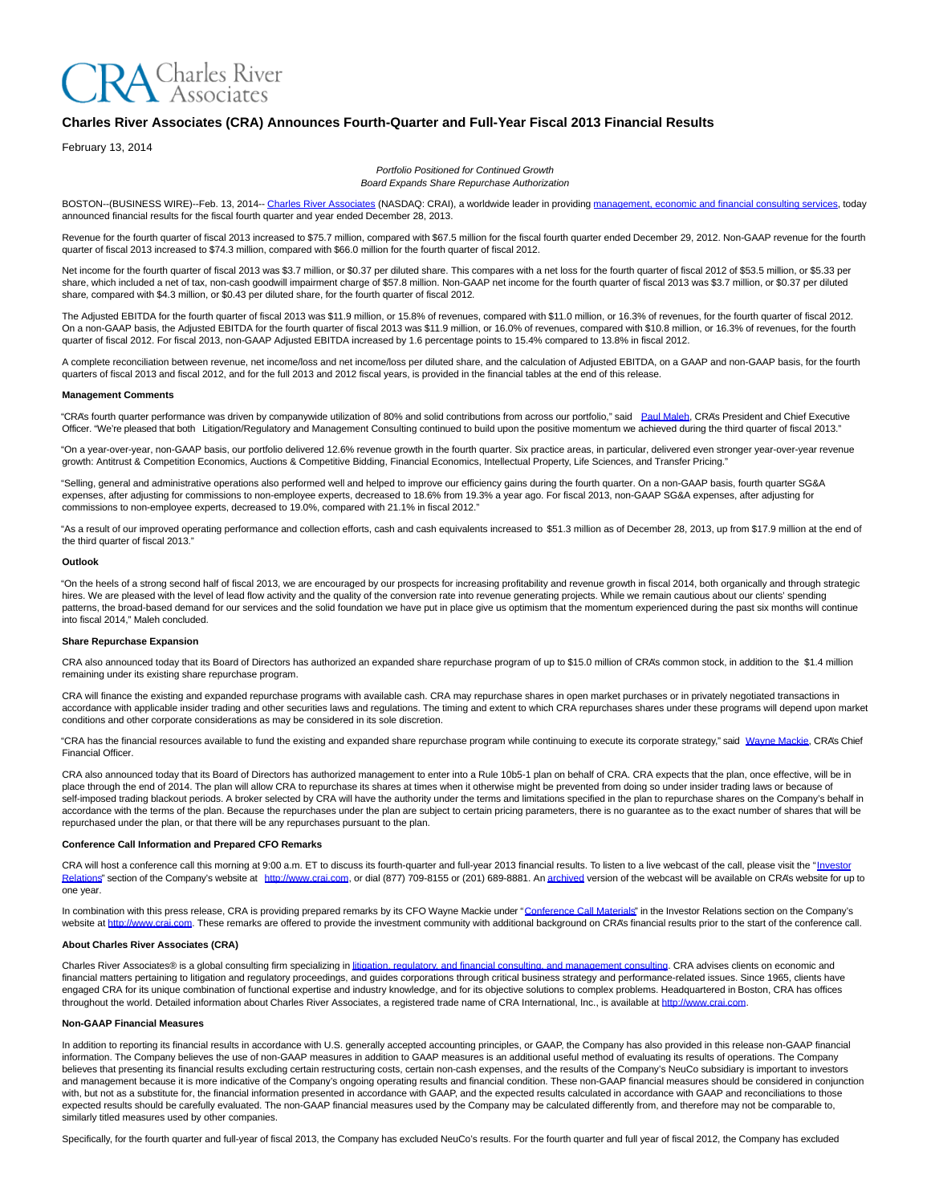# **RA** Charles River<br>A Associates

## **Charles River Associates (CRA) Announces Fourth-Quarter and Full-Year Fiscal 2013 Financial Results**

February 13, 2014

Portfolio Positioned for Continued Growth Board Expands Share Repurchase Authorization

BOSTON--(BUSINESS WIRE)--Feb. 13, 2014-[- Charles River Associates \(](http://cts.businesswire.com/ct/CT?id=smartlink&url=http%3A%2F%2Fwww.crai.com%2FDefault.aspx&esheet=50803241&newsitemid=20140213005713&lan=en-US&anchor=Charles+River+Associates&index=1&md5=7418d5405b0ef17c40dd50c95c1de77c)NASDAQ: CRAI), a worldwide leader in providing [management, economic and financial consulting services,](http://cts.businesswire.com/ct/CT?id=smartlink&url=http%3A%2F%2Fwww.crai.com%2FConsultingExpertise%2FDefaultCustom.aspx&esheet=50803241&newsitemid=20140213005713&lan=en-US&anchor=management%2C+economic+and+financial+consulting+services&index=2&md5=ae9ed4005b76e17d48170a52b9213c58) today announced financial results for the fiscal fourth quarter and year ended December 28, 2013.

Revenue for the fourth quarter of fiscal 2013 increased to \$75.7 million, compared with \$67.5 million for the fiscal fourth quarter ended December 29, 2012. Non-GAAP revenue for the fourth quarter of fiscal 2013 increased to \$74.3 million, compared with \$66.0 million for the fourth quarter of fiscal 2012.

Net income for the fourth quarter of fiscal 2013 was \$3.7 million, or \$0.37 per diluted share. This compares with a net loss for the fourth quarter of fiscal 2012 of \$53.5 million, or \$5.33 per share, which included a net of tax, non-cash goodwill impairment charge of \$57.8 million. Non-GAAP net income for the fourth quarter of fiscal 2013 was \$3.7 million, or \$0.37 per diluted share, compared with \$4.3 million, or \$0.43 per diluted share, for the fourth quarter of fiscal 2012.

The Adjusted EBITDA for the fourth quarter of fiscal 2013 was \$11.9 million, or 15.8% of revenues, compared with \$11.0 million, or 16.3% of revenues, for the fourth quarter of fiscal 2012. On a non-GAAP basis, the Adjusted EBITDA for the fourth quarter of fiscal 2013 was \$11.9 million, or 16.0% of revenues, compared with \$10.8 million, or 16.3% of revenues, for the fourth quarter of fiscal 2012. For fiscal 2013, non-GAAP Adjusted EBITDA increased by 1.6 percentage points to 15.4% compared to 13.8% in fiscal 2012.

A complete reconciliation between revenue, net income/loss and net income/loss per diluted share, and the calculation of Adjusted EBITDA, on a GAAP and non-GAAP basis, for the fourth quarters of fiscal 2013 and fiscal 2012, and for the full 2013 and 2012 fiscal years, is provided in the financial tables at the end of this release.

#### **Management Comments**

"CRA's fourth quarter performance was driven by companywide utilization of 80% and solid contributions from across our portfolio," said [Paul Maleh,](http://cts.businesswire.com/ct/CT?id=smartlink&url=http%3A%2F%2Fwww.crai.com%2FProfessionalStaff%2Flistingdetails.aspx%3Fid%3D2580&esheet=50803241&newsitemid=20140213005713&lan=en-US&anchor=Paul+Maleh&index=3&md5=f6513f820238e663758387fb0391e92a) CRA's President and Chief Executive Officer. "We're pleased that both Litigation/Regulatory and Management Consulting continued to build upon the positive momentum we achieved during the third quarter of fiscal 2013."

"On a year-over-year, non-GAAP basis, our portfolio delivered 12.6% revenue growth in the fourth quarter. Six practice areas, in particular, delivered even stronger year-over-year revenue growth: Antitrust & Competition Economics, Auctions & Competitive Bidding, Financial Economics, Intellectual Property, Life Sciences, and Transfer Pricing."

"Selling, general and administrative operations also performed well and helped to improve our efficiency gains during the fourth quarter. On a non-GAAP basis, fourth quarter SG&A expenses, after adjusting for commissions to non-employee experts, decreased to 18.6% from 19.3% a year ago. For fiscal 2013, non-GAAP SG&A expenses, after adjusting for commissions to non-employee experts, decreased to 19.0%, compared with 21.1% in fiscal 2012."

"As a result of our improved operating performance and collection efforts, cash and cash equivalents increased to \$51.3 million as of December 28, 2013, up from \$17.9 million at the end of the third quarter of fiscal 2013."

#### **Outlook**

"On the heels of a strong second half of fiscal 2013, we are encouraged by our prospects for increasing profitability and revenue growth in fiscal 2014, both organically and through strategic hires. We are pleased with the level of lead flow activity and the quality of the conversion rate into revenue generating projects. While we remain cautious about our clients' spending patterns, the broad-based demand for our services and the solid foundation we have put in place give us optimism that the momentum experienced during the past six months will continue into fiscal 2014," Maleh concluded.

#### **Share Repurchase Expansion**

CRA also announced today that its Board of Directors has authorized an expanded share repurchase program of up to \$15.0 million of CRA's common stock, in addition to the \$1.4 million remaining under its existing share repurchase program.

CRA will finance the existing and expanded repurchase programs with available cash. CRA may repurchase shares in open market purchases or in privately negotiated transactions in accordance with applicable insider trading and other securities laws and regulations. The timing and extent to which CRA repurchases shares under these programs will depend upon market conditions and other corporate considerations as may be considered in its sole discretion.

"CRA has the financial resources available to fund the existing and expanded share repurchase program while continuing to execute its corporate strategy," said [Wayne Mackie,](http://cts.businesswire.com/ct/CT?id=smartlink&url=http%3A%2F%2Fcrai.com%2FProfessionalStaff%2Flistingdetails.aspx%3Fid%3D2584&esheet=50803241&newsitemid=20140213005713&lan=en-US&anchor=Wayne+Mackie&index=4&md5=bdf065b63ff03239c2ca738a7a9746ce) CRA's Chief Financial Officer.

CRA also announced today that its Board of Directors has authorized management to enter into a Rule 10b5-1 plan on behalf of CRA. CRA expects that the plan, once effective, will be in place through the end of 2014. The plan will allow CRA to repurchase its shares at times when it otherwise might be prevented from doing so under insider trading laws or because of self-imposed trading blackout periods. A broker selected by CRA will have the authority under the terms and limitations specified in the plan to repurchase shares on the Company's behalf in accordance with the terms of the plan. Because the repurchases under the plan are subject to certain pricing parameters, there is no guarantee as to the exact number of shares that will be repurchased under the plan, or that there will be any repurchases pursuant to the plan.

#### **Conference Call Information and Prepared CFO Remarks**

CRA will host a conference call this morning at 9:00 a.m. ET to discuss its fourth-quarter and full-year 2013 financial results. To listen to a live webcast of the call, please visit the ["Investor](http://cts.businesswire.com/ct/CT?id=smartlink&url=http%3A%2F%2Fphx.corporate-ir.net%2Fphoenix.zhtml%3Fc%3D97435%26p%3Dirol-IRHome&esheet=50803241&newsitemid=20140213005713&lan=en-US&anchor=Investor+Relations&index=5&md5=f8dac6fa18834f3fe16e171d2a2680a9) Relations" section of the Company's website at [http://www.crai.com,](http://cts.businesswire.com/ct/CT?id=smartlink&url=http%3A%2F%2Fwww.crai.com%2FDefault.aspx&esheet=50803241&newsitemid=20140213005713&lan=en-US&anchor=http%3A%2F%2Fwww.crai.com&index=6&md5=bcc60e989767c51ac27fe4b49e0c2dfb) or dial (877) 709-8155 or (201) 689-8881. An [archived v](http://cts.businesswire.com/ct/CT?id=smartlink&url=http%3A%2F%2Fphx.corporate-ir.net%2Fphoenix.zhtml%3Fc%3D97435%26p%3Dirol-audioarchives&esheet=50803241&newsitemid=20140213005713&lan=en-US&anchor=archived&index=7&md5=34426c9175f159537b097397a63cb741)ersion of the webcast will be available on CRA's website for up to one year.

In combination with this press release, CRA is providing prepared remarks by its CFO Wayne Mackie under ["Conference Call Materials"](http://cts.businesswire.com/ct/CT?id=smartlink&url=http%3A%2F%2Fphx.corporate-ir.net%2Fphoenix.zhtml%3Fc%3D97435%26p%3Dirol-presentations&esheet=50803241&newsitemid=20140213005713&lan=en-US&anchor=Conference+Call+Materials&index=8&md5=b9a1921814d3d8f9601ec188d7f4596e) in the Investor Relations section on the Company's website a[t http://www.crai.com.](http://cts.businesswire.com/ct/CT?id=smartlink&url=http%3A%2F%2Fwww.crai.com%2FDefault.aspx&esheet=50803241&newsitemid=20140213005713&lan=en-US&anchor=http%3A%2F%2Fwww.crai.com&index=9&md5=3065353ca9a23ada7e8267bc17b42a54) These remarks are offered to provide the investment community with additional background on CRA's financial results prior to the start of the conference call.

#### **About Charles River Associates (CRA)**

Charles River Associates® is a global consulting firm specializing i[n litigation, regulatory, and financial consulting, and management consulting.](http://cts.businesswire.com/ct/CT?id=smartlink&url=http%3A%2F%2Fwww.crai.com%2FConsultingExpertise%2FDefaultCustom.aspx&esheet=50803241&newsitemid=20140213005713&lan=en-US&anchor=litigation%2C+regulatory%2C+and+financial+consulting%2C+and+management+consulting&index=10&md5=772b9c7af72c6f7bb3f19fcaf1df8829) CRA advises clients on economic and financial matters pertaining to litigation and regulatory proceedings, and guides corporations through critical business strategy and performance-related issues. Since 1965, clients have engaged CRA for its unique combination of functional expertise and industry knowledge, and for its objective solutions to complex problems. Headquartered in Boston, CRA has offices throughout the world. Detailed information about Charles River Associates, a registered trade name of CRA International, Inc., is available at [http://www.crai.com.](http://cts.businesswire.com/ct/CT?id=smartlink&url=http%3A%2F%2Fwww.crai.com%2F&esheet=50803241&newsitemid=20140213005713&lan=en-US&anchor=http%3A%2F%2Fwww.crai.com&index=11&md5=85871fb64af59e46da859e7cf7eeffa1)

#### **Non-GAAP Financial Measures**

In addition to reporting its financial results in accordance with U.S. generally accepted accounting principles, or GAAP, the Company has also provided in this release non-GAAP financial information. The Company believes the use of non-GAAP measures in addition to GAAP measures is an additional useful method of evaluating its results of operations. The Company believes that presenting its financial results excluding certain restructuring costs, certain non-cash expenses, and the results of the Company's NeuCo subsidiary is important to investors and management because it is more indicative of the Company's ongoing operating results and financial condition. These non-GAAP financial measures should be considered in conjunction with, but not as a substitute for, the financial information presented in accordance with GAAP, and the expected results calculated in accordance with GAAP and reconciliations to those expected results should be carefully evaluated. The non-GAAP financial measures used by the Company may be calculated differently from, and therefore may not be comparable to, similarly titled measures used by other companies.

Specifically, for the fourth quarter and full-year of fiscal 2013, the Company has excluded NeuCo's results. For the fourth quarter and full year of fiscal 2012, the Company has excluded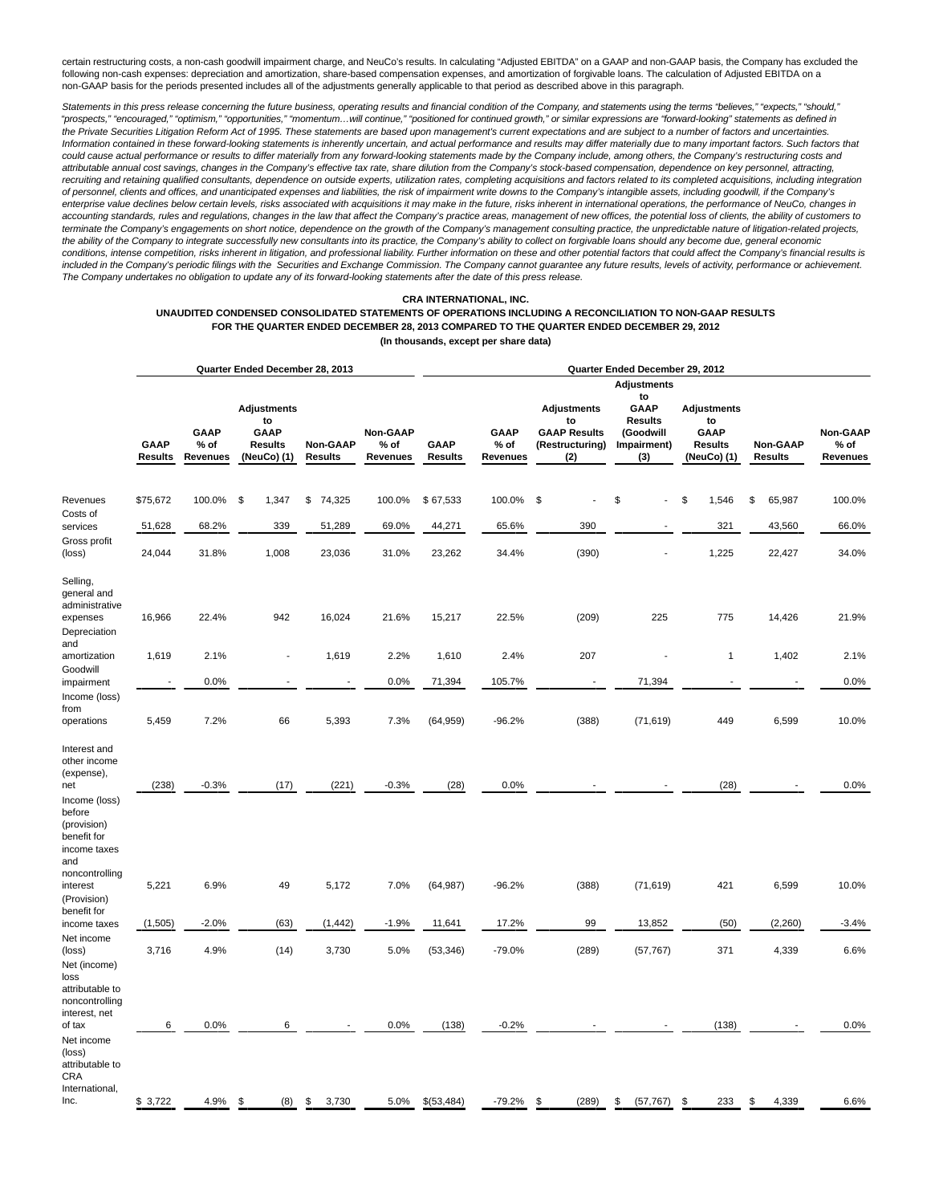certain restructuring costs, a non-cash goodwill impairment charge, and NeuCo's results. In calculating "Adjusted EBITDA" on a GAAP and non-GAAP basis, the Company has excluded the following non-cash expenses: depreciation and amortization, share-based compensation expenses, and amortization of forgivable loans. The calculation of Adjusted EBITDA on a non-GAAP basis for the periods presented includes all of the adjustments generally applicable to that period as described above in this paragraph.

Statements in this press release concerning the future business, operating results and financial condition of the Company, and statements using the terms "believes," "expects," "should," "prospects," "encouraged," "optimism," "opportunities," "momentum…will continue," "positioned for continued growth," or similar expressions are "forward-looking" statements as defined in the Private Securities Litigation Reform Act of 1995. These statements are based upon management's current expectations and are subject to a number of factors and uncertainties. Information contained in these forward-looking statements is inherently uncertain, and actual performance and results may differ materially due to many important factors. Such factors that could cause actual performance or results to differ materially from any forward-looking statements made by the Company include, among others, the Company's restructuring costs and attributable annual cost savings, changes in the Company's effective tax rate, share dilution from the Company's stock-based compensation, dependence on key personnel, attracting, recruiting and retaining qualified consultants, dependence on outside experts, utilization rates, completing acquisitions and factors related to its completed acquisitions, including integration of personnel, clients and offices, and unanticipated expenses and liabilities, the risk of impairment write downs to the Company's intangible assets, including goodwill, if the Company's enterprise value declines below certain levels, risks associated with acquisitions it may make in the future, risks inherent in international operations, the performance of NeuCo, changes in accounting standards, rules and regulations, changes in the law that affect the Company's practice areas, management of new offices, the potential loss of clients, the ability of customers to terminate the Company's engagements on short notice, dependence on the growth of the Company's management consulting practice, the unpredictable nature of litigation-related projects, the ability of the Company to integrate successfully new consultants into its practice, the Company's ability to collect on forgivable loans should any become due, general economic conditions, intense competition, risks inherent in litigation, and professional liability. Further information on these and other potential factors that could affect the Company's financial results is included in the Company's periodic filings with the Securities and Exchange Commission. The Company cannot guarantee any future results, levels of activity, performance or achievement. The Company undertakes no obligation to update any of its forward-looking statements after the date of this press release.

## **CRA INTERNATIONAL, INC.**

## **UNAUDITED CONDENSED CONSOLIDATED STATEMENTS OF OPERATIONS INCLUDING A RECONCILIATION TO NON-GAAP RESULTS FOR THE QUARTER ENDED DECEMBER 28, 2013 COMPARED TO THE QUARTER ENDED DECEMBER 29, 2012 (In thousands, except per share data)**

|                                                                                   |                               |                                   | Quarter Ended December 28, 2013              |                            |                              | Quarter Ended December 29, 2012 |                          |                                               |       |                                 |                                              |                            |                              |  |  |
|-----------------------------------------------------------------------------------|-------------------------------|-----------------------------------|----------------------------------------------|----------------------------|------------------------------|---------------------------------|--------------------------|-----------------------------------------------|-------|---------------------------------|----------------------------------------------|----------------------------|------------------------------|--|--|
|                                                                                   |                               |                                   |                                              |                            |                              |                                 |                          |                                               |       | <b>Adjustments</b>              |                                              |                            |                              |  |  |
|                                                                                   |                               |                                   | <b>Adjustments</b><br>to                     |                            |                              |                                 |                          | <b>Adjustments</b><br>to                      |       | to<br>GAAP<br><b>Results</b>    | <b>Adjustments</b><br>to                     |                            |                              |  |  |
|                                                                                   | <b>GAAP</b><br><b>Results</b> | <b>GAAP</b><br>$%$ of<br>Revenues | <b>GAAP</b><br><b>Results</b><br>(NeuCo) (1) | Non-GAAP<br><b>Results</b> | Non-GAAP<br>% of<br>Revenues | GAAP<br><b>Results</b>          | GAAP<br>% of<br>Revenues | <b>GAAP Results</b><br>(Restructuring)<br>(2) |       | (Goodwill<br>Impairment)<br>(3) | <b>GAAP</b><br><b>Results</b><br>(NeuCo) (1) | Non-GAAP<br><b>Results</b> | Non-GAAP<br>% of<br>Revenues |  |  |
| Revenues                                                                          | \$75,672                      | 100.0%                            | $\mathfrak s$<br>1,347                       | 74,325<br>\$               | 100.0%                       | \$67,533                        | 100.0%                   | \$                                            |       | \$                              | \$<br>1,546                                  | \$<br>65,987               | 100.0%                       |  |  |
| Costs of<br>services<br>Gross profit                                              | 51,628                        | 68.2%                             | 339                                          | 51,289                     | 69.0%                        | 44,271                          | 65.6%                    |                                               | 390   | $\overline{\phantom{a}}$        | 321                                          | 43,560                     | 66.0%                        |  |  |
| (loss)                                                                            | 24,044                        | 31.8%                             | 1,008                                        | 23,036                     | 31.0%                        | 23,262                          | 34.4%                    |                                               | (390) |                                 | 1,225                                        | 22,427                     | 34.0%                        |  |  |
| Selling,<br>general and<br>administrative<br>expenses                             | 16,966                        | 22.4%                             | 942                                          | 16,024                     | 21.6%                        | 15,217                          | 22.5%                    |                                               | (209) | 225                             | 775                                          | 14,426                     | 21.9%                        |  |  |
| Depreciation<br>and<br>amortization                                               | 1,619                         | 2.1%                              |                                              | 1,619                      | 2.2%                         | 1,610                           | 2.4%                     |                                               | 207   |                                 | $\mathbf{1}$                                 | 1,402                      | 2.1%                         |  |  |
| Goodwill<br>impairment                                                            |                               | 0.0%                              |                                              |                            | 0.0%                         | 71,394                          | 105.7%                   |                                               |       | 71,394                          |                                              |                            | 0.0%                         |  |  |
| Income (loss)<br>from<br>operations                                               | 5,459                         | 7.2%                              | 66                                           | 5,393                      | 7.3%                         | (64, 959)                       | $-96.2%$                 |                                               | (388) | (71, 619)                       | 449                                          | 6,599                      | 10.0%                        |  |  |
| Interest and<br>other income<br>(expense),<br>net                                 | (238)                         | $-0.3%$                           | (17)                                         | (221)                      | $-0.3%$                      | (28)                            | 0.0%                     |                                               |       |                                 | (28)                                         |                            | 0.0%                         |  |  |
| Income (loss)<br>before<br>(provision)<br>benefit for<br>income taxes<br>and      |                               |                                   |                                              |                            |                              |                                 |                          |                                               |       |                                 |                                              |                            |                              |  |  |
| noncontrolling<br>interest<br>(Provision)                                         | 5,221                         | 6.9%                              | 49                                           | 5,172                      | 7.0%                         | (64, 987)                       | $-96.2%$                 |                                               | (388) | (71, 619)                       | 421                                          | 6,599                      | 10.0%                        |  |  |
| benefit for<br>income taxes                                                       | (1,505)                       | $-2.0%$                           | (63)                                         | (1, 442)                   | $-1.9%$                      | 11,641                          | 17.2%                    |                                               | 99    | 13,852                          | (50)                                         | (2,260)                    | $-3.4%$                      |  |  |
| Net income<br>(loss)<br>Net (income)<br>loss<br>attributable to<br>noncontrolling | 3,716                         | 4.9%                              | (14)                                         | 3,730                      | 5.0%                         | (53, 346)                       | $-79.0%$                 |                                               | (289) | (57, 767)                       | 371                                          | 4,339                      | 6.6%                         |  |  |
| interest, net<br>of tax<br>Net income<br>(loss)<br>attributable to<br>CRA         | 6                             | 0.0%                              | 6                                            |                            | 0.0%                         | (138)                           | $-0.2%$                  |                                               |       |                                 | (138)                                        |                            | 0.0%                         |  |  |
| International,<br>Inc.                                                            | \$3,722                       | 4.9%                              | \$<br>(8)                                    | 3,730<br>\$                | 5.0%                         | \$(53, 484)                     | $-79.2%$                 | \$                                            | (289) | \$<br>(57, 767)                 | \$<br>233                                    | 4,339<br>\$                | 6.6%                         |  |  |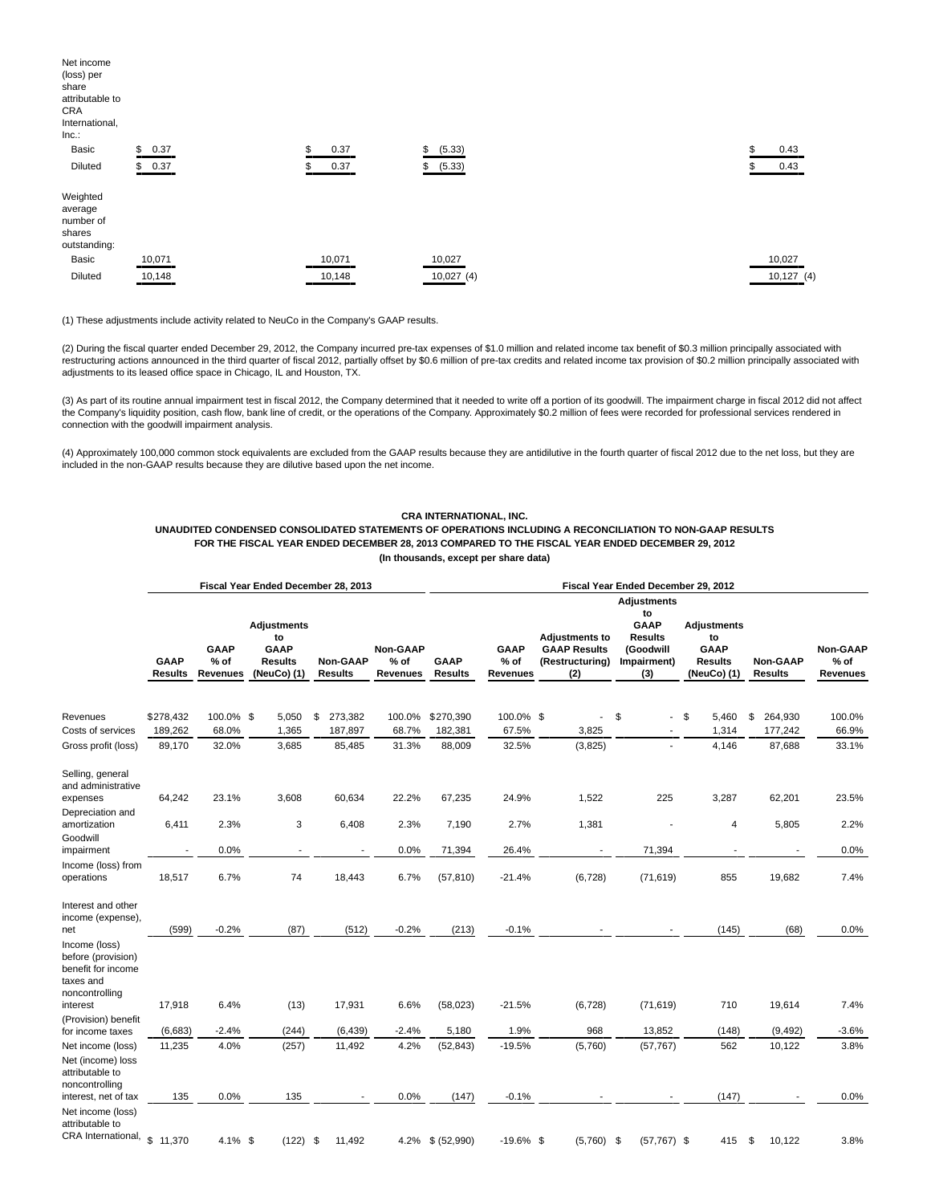| Net income<br>(loss) per<br>share<br>attributable to<br>CRA<br>International,<br>Inc. |            |    |        |              |  |    |           |
|---------------------------------------------------------------------------------------|------------|----|--------|--------------|--|----|-----------|
| Basic                                                                                 | \$<br>0.37 | \$ | 0.37   | \$<br>(5.33) |  | \$ | 0.43      |
| Diluted                                                                               | \$0.37     |    | 0.37   | (5.33)<br>\$ |  |    | 0.43      |
| Weighted<br>average<br>number of<br>shares<br>outstanding:                            |            |    |        |              |  |    |           |
| Basic                                                                                 | 10,071     |    | 10,071 | 10,027       |  |    | 10,027    |
| Diluted                                                                               | 10,148     |    | 10,148 | 10,027(4)    |  |    | 10,127(4) |

(1) These adjustments include activity related to NeuCo in the Company's GAAP results.

(2) During the fiscal quarter ended December 29, 2012, the Company incurred pre-tax expenses of \$1.0 million and related income tax benefit of \$0.3 million principally associated with restructuring actions announced in the third quarter of fiscal 2012, partially offset by \$0.6 million of pre-tax credits and related income tax provision of \$0.2 million principally associated with adjustments to its leased office space in Chicago, IL and Houston, TX.

(3) As part of its routine annual impairment test in fiscal 2012, the Company determined that it needed to write off a portion of its goodwill. The impairment charge in fiscal 2012 did not affect the Company's liquidity position, cash flow, bank line of credit, or the operations of the Company. Approximately \$0.2 million of fees were recorded for professional services rendered in connection with the goodwill impairment analysis.

(4) Approximately 100,000 common stock equivalents are excluded from the GAAP results because they are antidilutive in the fourth quarter of fiscal 2012 due to the net loss, but they are included in the non-GAAP results because they are dilutive based upon the net income.

## **CRA INTERNATIONAL, INC.**

**UNAUDITED CONDENSED CONSOLIDATED STATEMENTS OF OPERATIONS INCLUDING A RECONCILIATION TO NON-GAAP RESULTS FOR THE FISCAL YEAR ENDED DECEMBER 28, 2013 COMPARED TO THE FISCAL YEAR ENDED DECEMBER 29, 2012 (In thousands, except per share data)**

|                                                                                          |                               |                                   | Fiscal Year Ended December 28, 2013                               |                            |                                       | Fiscal Year Ended December 29, 2012 |                                   |                                                                        |                                                                        |                                                                          |                            |                                |  |  |
|------------------------------------------------------------------------------------------|-------------------------------|-----------------------------------|-------------------------------------------------------------------|----------------------------|---------------------------------------|-------------------------------------|-----------------------------------|------------------------------------------------------------------------|------------------------------------------------------------------------|--------------------------------------------------------------------------|----------------------------|--------------------------------|--|--|
|                                                                                          |                               |                                   |                                                                   |                            |                                       |                                     |                                   |                                                                        |                                                                        |                                                                          |                            |                                |  |  |
|                                                                                          | <b>GAAP</b><br><b>Results</b> | <b>GAAP</b><br>$%$ of<br>Revenues | <b>Adjustments</b><br>to<br>GAAP<br><b>Results</b><br>(NeuCo) (1) | Non-GAAP<br><b>Results</b> | <b>Non-GAAP</b><br>$%$ of<br>Revenues | <b>GAAP</b><br><b>Results</b>       | <b>GAAP</b><br>$%$ of<br>Revenues | <b>Adjustments to</b><br><b>GAAP Results</b><br>(Restructuring)<br>(2) | to<br><b>GAAP</b><br><b>Results</b><br>(Goodwill<br>Impairment)<br>(3) | <b>Adjustments</b><br>to<br><b>GAAP</b><br><b>Results</b><br>(NeuCo) (1) | <b>Non-GAAP</b><br>Results | Non-GAAP<br>$%$ of<br>Revenues |  |  |
|                                                                                          |                               |                                   |                                                                   |                            |                                       |                                     |                                   |                                                                        |                                                                        |                                                                          |                            |                                |  |  |
| Revenues                                                                                 | \$278,432                     | 100.0% \$                         | 5,050                                                             | \$<br>273,382              | 100.0%                                | \$270,390                           | 100.0% \$                         | $\blacksquare$                                                         | \$<br>$\blacksquare$                                                   | \$<br>5,460                                                              | \$<br>264,930              | 100.0%                         |  |  |
| Costs of services                                                                        | 189,262                       | 68.0%                             | 1,365                                                             | 187,897                    | 68.7%                                 | 182,381                             | 67.5%                             | 3,825                                                                  |                                                                        | 1,314                                                                    | 177,242                    | 66.9%                          |  |  |
| Gross profit (loss)                                                                      | 89,170                        | 32.0%                             | 3,685                                                             | 85,485                     | 31.3%                                 | 88,009                              | 32.5%                             | (3,825)                                                                | L.                                                                     | 4,146                                                                    | 87,688                     | 33.1%                          |  |  |
| Selling, general<br>and administrative<br>expenses                                       | 64,242                        | 23.1%                             | 3,608                                                             | 60,634                     | 22.2%                                 | 67,235                              | 24.9%                             | 1,522                                                                  | 225                                                                    | 3,287                                                                    | 62,201                     | 23.5%                          |  |  |
| Depreciation and<br>amortization                                                         | 6,411                         | 2.3%                              | 3                                                                 | 6,408                      | 2.3%                                  | 7,190                               | 2.7%                              | 1,381                                                                  |                                                                        | 4                                                                        | 5,805                      | 2.2%                           |  |  |
| Goodwill                                                                                 |                               |                                   |                                                                   |                            |                                       |                                     |                                   |                                                                        |                                                                        |                                                                          |                            |                                |  |  |
| impairment                                                                               |                               | 0.0%                              | $\overline{\phantom{a}}$                                          |                            | 0.0%                                  | 71,394                              | 26.4%                             |                                                                        | 71,394                                                                 |                                                                          |                            | 0.0%                           |  |  |
| Income (loss) from<br>operations                                                         | 18,517                        | 6.7%                              | 74                                                                | 18,443                     | 6.7%                                  | (57, 810)                           | $-21.4%$                          | (6, 728)                                                               | (71, 619)                                                              | 855                                                                      | 19,682                     | 7.4%                           |  |  |
| Interest and other<br>income (expense),<br>net                                           | (599)                         | $-0.2%$                           | (87)                                                              | (512)                      | $-0.2%$                               | (213)                               | $-0.1%$                           |                                                                        |                                                                        | (145)                                                                    | (68)                       | 0.0%                           |  |  |
| Income (loss)<br>before (provision)<br>benefit for income<br>taxes and<br>noncontrolling |                               |                                   |                                                                   |                            |                                       |                                     |                                   |                                                                        |                                                                        |                                                                          |                            |                                |  |  |
| interest<br>(Provision) benefit                                                          | 17,918                        | 6.4%                              | (13)                                                              | 17,931                     | 6.6%                                  | (58,023)                            | $-21.5%$                          | (6, 728)                                                               | (71, 619)                                                              | 710                                                                      | 19,614                     | 7.4%                           |  |  |
| for income taxes                                                                         | (6,683)                       | $-2.4%$                           | (244)                                                             | (6, 439)                   | $-2.4%$                               | 5,180                               | 1.9%                              | 968                                                                    | 13,852                                                                 | (148)                                                                    | (9, 492)                   | $-3.6%$                        |  |  |
| Net income (loss)<br>Net (income) loss<br>attributable to                                | 11,235                        | 4.0%                              | (257)                                                             | 11,492                     | 4.2%                                  | (52, 843)                           | $-19.5%$                          | (5,760)                                                                | (57, 767)                                                              | 562                                                                      | 10,122                     | 3.8%                           |  |  |
| noncontrolling<br>interest, net of tax                                                   | 135                           | 0.0%                              | 135                                                               |                            | 0.0%                                  | (147)                               | $-0.1%$                           |                                                                        |                                                                        | (147)                                                                    |                            | 0.0%                           |  |  |
| Net income (loss)<br>attributable to<br>CRA International,                               | $\mathbf{\hat{s}}$<br>11,370  | $4.1\%$ \$                        | (122)                                                             | - \$<br>11,492             |                                       | 4.2% \$ (52,990)                    | $-19.6\%$ \$                      | (5,760)                                                                | - \$<br>$(57, 767)$ \$                                                 | 415                                                                      | \$<br>10,122               | 3.8%                           |  |  |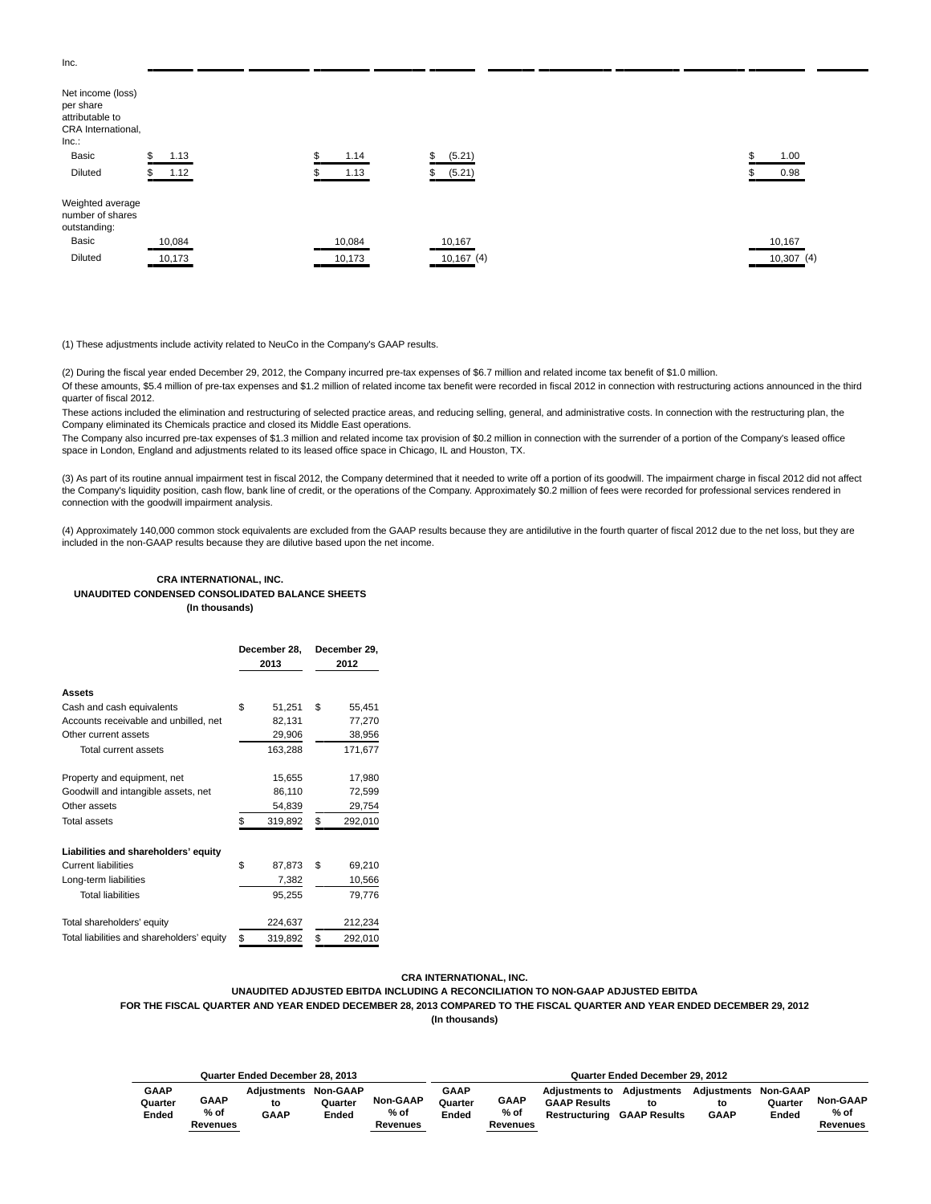| Net income (loss)<br>per share<br>attributable to<br>CRA International,<br>Inc.<br>Basic | 1.13<br>D. | 1.14   | \$<br>(5.21) | 1.00      |
|------------------------------------------------------------------------------------------|------------|--------|--------------|-----------|
|                                                                                          |            |        |              |           |
| Diluted                                                                                  | \$ 1.12    | 1.13   | (5.21)<br>\$ | 0.98      |
| Weighted average<br>number of shares<br>outstanding:                                     |            |        |              |           |
| Basic                                                                                    | 10,084     | 10,084 | 10,167       | 10,167    |
| Diluted                                                                                  | 10,173     | 10,173 | 10,167(4)    | 10,307(4) |

(1) These adjustments include activity related to NeuCo in the Company's GAAP results.

(2) During the fiscal year ended December 29, 2012, the Company incurred pre-tax expenses of \$6.7 million and related income tax benefit of \$1.0 million.

Of these amounts, \$5.4 million of pre-tax expenses and \$1.2 million of related income tax benefit were recorded in fiscal 2012 in connection with restructuring actions announced in the third quarter of fiscal 2012.

These actions included the elimination and restructuring of selected practice areas, and reducing selling, general, and administrative costs. In connection with the restructuring plan, the Company eliminated its Chemicals practice and closed its Middle East operations.

The Company also incurred pre-tax expenses of \$1.3 million and related income tax provision of \$0.2 million in connection with the surrender of a portion of the Company's leased office space in London, England and adjustments related to its leased office space in Chicago, IL and Houston, TX.

(3) As part of its routine annual impairment test in fiscal 2012, the Company determined that it needed to write off a portion of its goodwill. The impairment charge in fiscal 2012 did not affect the Company's liquidity position, cash flow, bank line of credit, or the operations of the Company. Approximately \$0.2 million of fees were recorded for professional services rendered in connection with the goodwill impairment analysis.

(4) Approximately 140,000 common stock equivalents are excluded from the GAAP results because they are antidilutive in the fourth quarter of fiscal 2012 due to the net loss, but they are included in the non-GAAP results because they are dilutive based upon the net income.

## **CRA INTERNATIONAL, INC. UNAUDITED CONDENSED CONSOLIDATED BALANCE SHEETS (In thousands)**

|                                            | December 28,<br>2013 | December 29,<br>2012 |
|--------------------------------------------|----------------------|----------------------|
| Assets                                     |                      |                      |
| Cash and cash equivalents                  | \$<br>51,251         | \$<br>55,451         |
| Accounts receivable and unbilled, net      | 82,131               | 77,270               |
| Other current assets                       | 29,906               | 38,956               |
| Total current assets                       | 163,288              | 171,677              |
| Property and equipment, net                | 15,655               | 17,980               |
| Goodwill and intangible assets, net        | 86,110               | 72,599               |
| Other assets                               | 54,839               | 29,754               |
| <b>Total assets</b>                        | \$<br>319,892        | \$<br>292,010        |
| Liabilities and shareholders' equity       |                      |                      |
| <b>Current liabilities</b>                 | \$<br>87,873         | \$<br>69,210         |
| Long-term liabilities                      | 7,382                | 10,566               |
| <b>Total liabilities</b>                   | 95,255               | 79,776               |
| Total shareholders' equity                 | 224,637              | 212,234              |
| Total liabilities and shareholders' equity | \$<br>319,892        | \$<br>292,010        |

## **CRA INTERNATIONAL, INC.**

**UNAUDITED ADJUSTED EBITDA INCLUDING A RECONCILIATION TO NON-GAAP ADJUSTED EBITDA**

**FOR THE FISCAL QUARTER AND YEAR ENDED DECEMBER 28, 2013 COMPARED TO THE FISCAL QUARTER AND YEAR ENDED DECEMBER 29, 2012**

**(In thousands)**

|             |             | Quarter Ended December 28, 2013 |                 |                 | Quarter Ended December 29, 2012 |             |                       |                     |                    |                 |                 |  |  |
|-------------|-------------|---------------------------------|-----------------|-----------------|---------------------------------|-------------|-----------------------|---------------------|--------------------|-----------------|-----------------|--|--|
| <b>GAAP</b> | <b>GAAP</b> | <b>Adiustments</b>              | <b>Non-GAAP</b> | <b>Non-GAAP</b> | <b>GAAP</b>                     | <b>GAAP</b> | <b>Adiustments to</b> | <b>Adiustments</b>  | <b>Adiustments</b> | <b>Non-GAAP</b> | <b>Non-GAAP</b> |  |  |
| Quarter     | % of        | to                              | Quarter         | % of            | Quarter                         | % of        | <b>GAAP Results</b>   | to                  | to                 | Quarter         | % of            |  |  |
| Ended       | Revenues    | <b>GAAP</b>                     | Ended           | Revenues        | Ended                           | Revenues    | Restructuring         | <b>GAAP Results</b> | <b>GAAP</b>        | Ended           | Revenues        |  |  |

Inc.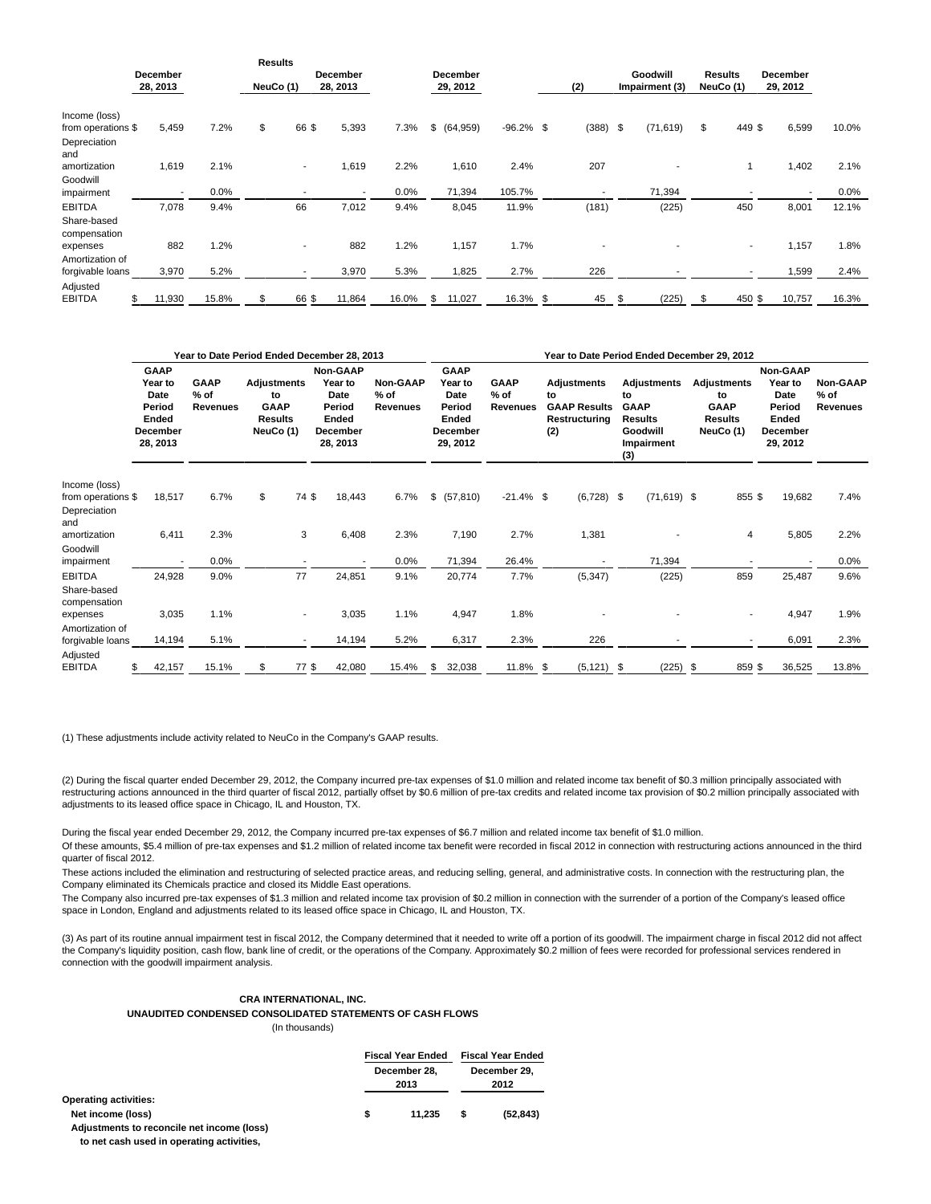|                                              |                             |       | <b>Results</b> |                          |                             |       |                      |              |                          |                            |           |                             |                      |       |
|----------------------------------------------|-----------------------------|-------|----------------|--------------------------|-----------------------------|-------|----------------------|--------------|--------------------------|----------------------------|-----------|-----------------------------|----------------------|-------|
|                                              | <b>December</b><br>28, 2013 |       | NeuCo (1)      |                          | <b>December</b><br>28, 2013 |       | December<br>29, 2012 |              | (2)                      | Goodwill<br>Impairment (3) |           | <b>Results</b><br>NeuCo (1) | December<br>29, 2012 |       |
| Income (loss)                                |                             |       |                |                          |                             |       |                      |              |                          |                            |           |                             |                      |       |
| from operations \$<br>Depreciation<br>and    | 5,459                       | 7.2%  | \$             | 66 \$                    | 5,393                       | 7.3%  | \$<br>(64, 959)      | $-96.2\%$ \$ | $(388)$ \$               |                            | (71, 619) | \$<br>449 \$                | 6,599                | 10.0% |
| amortization<br>Goodwill                     | 1,619                       | 2.1%  |                | $\overline{\phantom{a}}$ | 1,619                       | 2.2%  | 1,610                | 2.4%         | 207                      |                            |           |                             | 1,402                | 2.1%  |
| impairment                                   |                             | 0.0%  |                |                          | $\overline{\phantom{a}}$    | 0.0%  | 71,394               | 105.7%       | $\overline{\phantom{a}}$ |                            | 71,394    |                             |                      | 0.0%  |
| <b>EBITDA</b><br>Share-based<br>compensation | 7,078                       | 9.4%  |                | 66                       | 7,012                       | 9.4%  | 8,045                | 11.9%        | (181)                    |                            | (225)     | 450                         | 8,001                | 12.1% |
| expenses<br>Amortization of                  | 882                         | 1.2%  |                | $\overline{\phantom{a}}$ | 882                         | 1.2%  | 1,157                | 1.7%         |                          |                            |           | $\overline{\phantom{a}}$    | 1,157                | 1.8%  |
| forgivable loans<br>Adjusted                 | 3,970                       | 5.2%  |                |                          | 3,970                       | 5.3%  | 1,825                | 2.7%         | 226                      |                            |           |                             | 1,599                | 2.4%  |
| <b>EBITDA</b>                                | 11,930<br>\$                | 15.8% | \$             | 66 \$                    | 11,864                      | 16.0% | \$<br>11,027         | 16.3% \$     | 45                       | \$.                        | (225)     | \$<br>450 \$                | 10,757               | 16.3% |

|                             |                                                                                  |                                          |                                                                        |                | Year to Date Period Ended December 28, 2013                                          |                                              | Year to Date Period Ended December 29, 2012                               |             |                                          |                                                                         |               |                                                                                     |                |                                                                 |        |                                                                               |        |                                              |  |
|-----------------------------|----------------------------------------------------------------------------------|------------------------------------------|------------------------------------------------------------------------|----------------|--------------------------------------------------------------------------------------|----------------------------------------------|---------------------------------------------------------------------------|-------------|------------------------------------------|-------------------------------------------------------------------------|---------------|-------------------------------------------------------------------------------------|----------------|-----------------------------------------------------------------|--------|-------------------------------------------------------------------------------|--------|----------------------------------------------|--|
|                             | <b>GAAP</b><br>Year to<br>Date<br>Period<br>Ended<br><b>December</b><br>28, 2013 | <b>GAAP</b><br>$%$ of<br><b>Revenues</b> | <b>Adjustments</b><br>to<br><b>GAAP</b><br><b>Results</b><br>NeuCo (1) |                | <b>Non-GAAP</b><br>Year to<br>Date<br>Period<br>Ended<br><b>December</b><br>28, 2013 | <b>Non-GAAP</b><br>$%$ of<br><b>Revenues</b> | <b>GAAP</b><br>Year to<br>Date<br>Period<br>Ended<br>December<br>29, 2012 |             | <b>GAAP</b><br>$%$ of<br><b>Revenues</b> | <b>Adjustments</b><br>to<br><b>GAAP Results</b><br>Restructuring<br>(2) |               | Adjustments<br>to<br><b>GAAP</b><br><b>Results</b><br>Goodwill<br>Impairment<br>(3) |                | <b>Adjustments</b><br>to<br><b>GAAP</b><br>Results<br>NeuCo (1) |        | <b>Non-GAAP</b><br>Year to<br>Date<br>Period<br>Ended<br>December<br>29, 2012 |        | <b>Non-GAAP</b><br>$%$ of<br><b>Revenues</b> |  |
| Income (loss)               |                                                                                  |                                          |                                                                        |                |                                                                                      |                                              |                                                                           |             |                                          |                                                                         |               |                                                                                     |                |                                                                 |        |                                                                               |        |                                              |  |
| from operations \$          | 18,517                                                                           | 6.7%                                     | \$                                                                     | 74 \$          | 18,443                                                                               | 6.7%                                         |                                                                           | \$ (57,810) | $-21.4\%$ \$                             |                                                                         | $(6,728)$ \$  |                                                                                     | $(71, 619)$ \$ |                                                                 | 855\$  |                                                                               | 19,682 | 7.4%                                         |  |
| Depreciation<br>and         |                                                                                  |                                          |                                                                        |                |                                                                                      |                                              |                                                                           |             |                                          |                                                                         |               |                                                                                     |                |                                                                 |        |                                                                               |        |                                              |  |
| amortization                | 6,411                                                                            | 2.3%                                     |                                                                        | 3              | 6,408                                                                                | 2.3%                                         |                                                                           | 7,190       | 2.7%                                     |                                                                         | 1,381         |                                                                                     |                |                                                                 | 4      |                                                                               | 5,805  | 2.2%                                         |  |
| Goodwill                    |                                                                                  |                                          |                                                                        |                |                                                                                      |                                              |                                                                           |             |                                          |                                                                         |               |                                                                                     |                |                                                                 |        |                                                                               |        |                                              |  |
| impairment                  |                                                                                  | 0.0%                                     |                                                                        |                |                                                                                      | 0.0%                                         |                                                                           | 71,394      | 26.4%                                    |                                                                         |               |                                                                                     | 71,394         |                                                                 |        |                                                                               |        | 0.0%                                         |  |
| <b>EBITDA</b>               | 24,928                                                                           | 9.0%                                     |                                                                        | 77             | 24,851                                                                               | 9.1%                                         |                                                                           | 20,774      | 7.7%                                     |                                                                         | (5, 347)      |                                                                                     | (225)          |                                                                 | 859    |                                                                               | 25,487 | 9.6%                                         |  |
| Share-based<br>compensation |                                                                                  |                                          |                                                                        |                |                                                                                      |                                              |                                                                           |             |                                          |                                                                         |               |                                                                                     |                |                                                                 |        |                                                                               |        |                                              |  |
| expenses                    | 3,035                                                                            | 1.1%                                     |                                                                        | ٠              | 3,035                                                                                | 1.1%                                         |                                                                           | 4,947       | 1.8%                                     |                                                                         |               |                                                                                     |                |                                                                 |        |                                                                               | 4,947  | 1.9%                                         |  |
| Amortization of             |                                                                                  |                                          |                                                                        |                |                                                                                      |                                              |                                                                           |             |                                          |                                                                         |               |                                                                                     |                |                                                                 |        |                                                                               |        |                                              |  |
| forgivable loans            | 14,194                                                                           | 5.1%                                     |                                                                        | $\blacksquare$ | 14,194                                                                               | 5.2%                                         |                                                                           | 6,317       | 2.3%                                     |                                                                         | 226           |                                                                                     |                |                                                                 |        |                                                                               | 6,091  | 2.3%                                         |  |
| Adjusted<br>EBITDA          | 42,157<br>\$                                                                     | 15.1%                                    | \$                                                                     | 77\$           | 42,080                                                                               | 15.4%                                        | \$                                                                        | 32,038      | 11.8% \$                                 |                                                                         | $(5, 121)$ \$ |                                                                                     | $(225)$ \$     |                                                                 | 859 \$ |                                                                               | 36,525 | 13.8%                                        |  |

(1) These adjustments include activity related to NeuCo in the Company's GAAP results.

(2) During the fiscal quarter ended December 29, 2012, the Company incurred pre-tax expenses of \$1.0 million and related income tax benefit of \$0.3 million principally associated with restructuring actions announced in the third quarter of fiscal 2012, partially offset by \$0.6 million of pre-tax credits and related income tax provision of \$0.2 million principally associated with adjustments to its leased office space in Chicago, IL and Houston, TX.

During the fiscal year ended December 29, 2012, the Company incurred pre-tax expenses of \$6.7 million and related income tax benefit of \$1.0 million.

Of these amounts, \$5.4 million of pre-tax expenses and \$1.2 million of related income tax benefit were recorded in fiscal 2012 in connection with restructuring actions announced in the third quarter of fiscal 2012.

These actions included the elimination and restructuring of selected practice areas, and reducing selling, general, and administrative costs. In connection with the restructuring plan, the Company eliminated its Chemicals practice and closed its Middle East operations.

The Company also incurred pre-tax expenses of \$1.3 million and related income tax provision of \$0.2 million in connection with the surrender of a portion of the Company's leased office space in London, England and adjustments related to its leased office space in Chicago, IL and Houston, TX.

(3) As part of its routine annual impairment test in fiscal 2012, the Company determined that it needed to write off a portion of its goodwill. The impairment charge in fiscal 2012 did not affect the Company's liquidity position, cash flow, bank line of credit, or the operations of the Company. Approximately \$0.2 million of fees were recorded for professional services rendered in connection with the goodwill impairment analysis.

## **CRA INTERNATIONAL, INC.**

**UNAUDITED CONDENSED CONSOLIDATED STATEMENTS OF CASH FLOWS**

(In thousands)

|                                                                                         |   | <b>Fiscal Year Ended</b> |    | <b>Fiscal Year Ended</b> |
|-----------------------------------------------------------------------------------------|---|--------------------------|----|--------------------------|
|                                                                                         |   | December 28.<br>2013     |    | December 29.<br>2012     |
| <b>Operating activities:</b><br>Net income (loss)                                       | S | 11.235                   | \$ | (52, 843)                |
| Adjustments to reconcile net income (loss)<br>to net cash used in operating activities. |   |                          |    |                          |